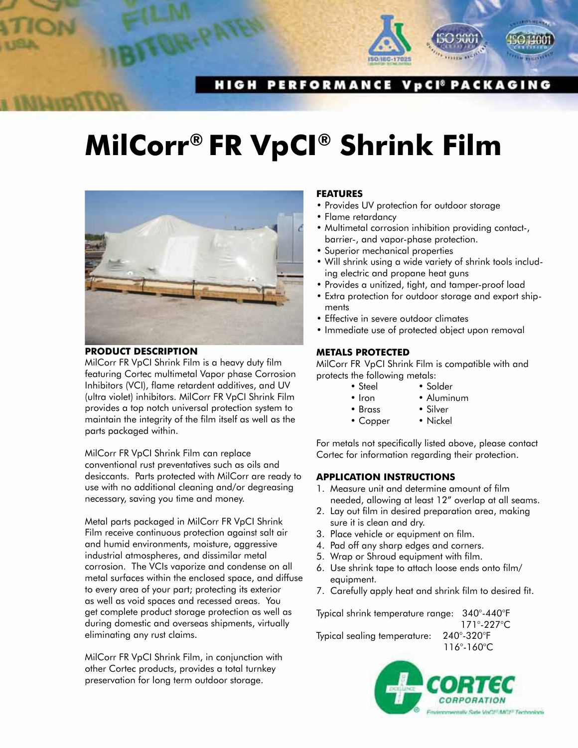

# **HIGH PERFORMANCE VpCI® PACKAGING**

# **MilCorr® FR VpCI® Shrink Film**



#### **PRODUCT DESCRIPTION**

MilCorr FR VpCI Shrink Film is a heavy duty film featuring Cortec multimetal Vapor phase Corrosion Inhibitors (VCI), flame retardent additives, and UV (ultra violet) inhibitors. MilCorr FR VpCI Shrink Film provides a top notch universal protection system to maintain the integrity of the film itself as well as the parts packaged within.

MilCorr FR VpCI Shrink Film can replace conventional rust preventatives such as oils and desiccants. Parts protected with MilCorr are ready to use with no additional cleaning and/or degreasing necessary, saving you time and money.

Metal parts packaged in MilCorr FR VpCI Shrink Film receive continuous protection against salt air and humid environments, moisture, aggressive industrial atmospheres, and dissimilar metal corrosion. The VCIs vaporize and condense on all metal surfaces within the enclosed space, and diffuse to every area of your part; protecting its exterior as well as void spaces and recessed areas. You get complete product storage protection as well as during domestic and overseas shipments, virtually eliminating any rust claims.

MilCorr FR VpCI Shrink Film, in conjunction with other Cortec products, provides a total turnkey preservation for long term outdoor storage.

### **FEaTURES**

- Provides UV protection for outdoor storage
- Flame retardancy
- Multimetal corrosion inhibition providing contact-, barrier-, and vapor-phase protection.
- Superior mechanical properties
- Will shrink using a wide variety of shrink tools including electric and propane heat guns
- Provides a unitized, tight, and tamper-proof load
- Extra protection for outdoor storage and export shipments
- Effective in severe outdoor climates
- Immediate use of protected object upon removal

# **METaLS PROTECTED**

MilCorr FR VpCI Shrink Film is compatible with and protects the following metals:

- Steel Solder
- Iron Aluminum
- Brass Silver
	-
- Copper Nickel

For metals not specifically listed above, please contact Cortec for information regarding their protection.

#### **aPPLICaTION INSTRUCTIONS**

- 1. Measure unit and determine amount of film needed, allowing at least 12" overlap at all seams.
- 2. Lay out film in desired preparation area, making sure it is clean and dry.
- 3. Place vehicle or equipment on film.
- 4. Pad off any sharp edges and corners.
- 5. Wrap or Shroud equipment with film.
- 6. Use shrink tape to attach loose ends onto film/ equipment.
- 7. Carefully apply heat and shrink film to desired fit.

Typical shrink temperature range: 340°-440°F 171°-227°C Typical sealing temperature: 240°-320°F 116°-160°C